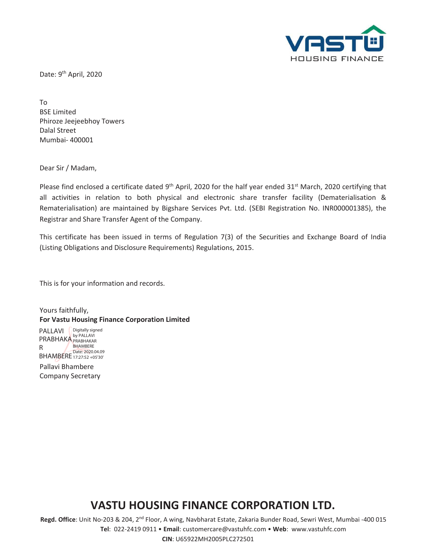

Date: 9<sup>th</sup> April, 2020

To BSE Limited Phiroze Jeejeebhoy Towers Dalal Street Mumbai- 400001

Dear Sir / Madam,

Please find enclosed a certificate dated 9<sup>th</sup> April, 2020 for the half year ended 31<sup>st</sup> March, 2020 certifying that all activities in relation to both physical and electronic share transfer facility (Dematerialisation & Rematerialisation) are maintained by Bigshare Services Pvt. Ltd. (SEBI Registration No. INR000001385), the Registrar and Share Transfer Agent of the Company.

This certificate has been issued in terms of Regulation 7(3) of the Securities and Exchange Board of India (Listing Obligations and Disclosure Requirements) Regulations, 2015.

This is for your information and records.

Yours faithfully, **For Vastu Housing Finance Corporation Limited** 

PALLAVI Paint Digitally signed PRABHAKA PRABHAKAR R ...<br>BHAMBERE 17:27:52 +05'30' BHAMBERE

Pallavi Bhambere Company Secretary

## **VASTU HOUSING FINANCE CORPORATION LTD.**

**Regd. Office**: Unit No-203 & 204, 2nd Floor, A wing, Navbharat Estate, Zakaria Bunder Road, Sewri West, Mumbai -400 015

**Tel**: 022-2419 0911 • **Email**: customercare@vastuhfc.com • **Web**: www.vastuhfc.com

**CIN**: U65922MH2005PLC272501